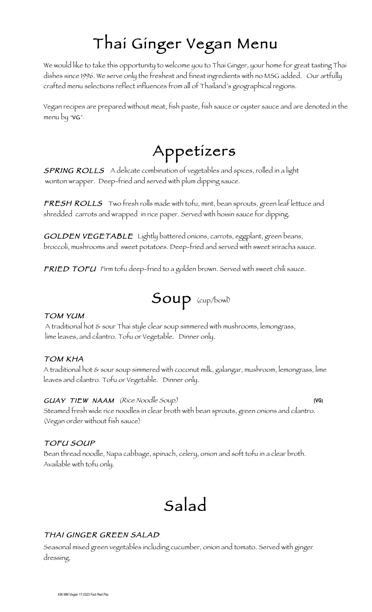# Thai Ginger Vegan Menu

We would like to take this opportunity to welcome you to Thai Ginger, your home for great tasting Thai dishes since 1996. We serve only the freshest and finest ingredients with no MSG added. Our artfully crafted menu selections reflect influences from all of Thailand's geographical regions.

Vegan recipes are prepared without meat, fish paste, fish sauce or oyster sauce and are denoted in the menu by "VG".

## Appetizers

**SPRING ROLLS** A delicate combination of vegetables and spices, rolled in a light wonton wrapper. Deep-fried and served with plum dipping sauce.

FRESH ROLLS Two fresh rolls made with tofu, mint, bean sprouts, green leaf lettuce and shredded carrots and wrapped in rice paper. Served with hoisin sauce for dipping.

GOLDEN VEGETABLE Lightly battered onions, carrots, eggplant, green beans, broccoli, mushrooms and sweet potatoes. Deep-fried and served with sweet sriracha sauce.

FRIED TOFU Firm tofu deep-fried to a golden brown. Served with sweet chili sauce.

$$
Soup\ (\rm cup/bowl)
$$

#### TOM YUM

A traditional hot & sour Thai style clear soup simmered with mushrooms, lemongrass, lime leaves, and cilantro. Tofu or Vegetable. Dinner only.

#### TOM KHA

A traditional hot & sour soup simmered with coconut milk, galangar, mushroom, lemongrass, lime leaves and cilantro. Tofu or Vegetable. Dinner only.

#### GUAY TIEW NAAM (Rice Noodle Soup) **(VG)**

Steamed fresh wide rice noodles in clear broth with bean sprouts, green onions and cilantro. (Vegan order without fish sauce)

#### TOFU SOUP

Bean thread noodle, Napa cabbage, spinach, celery, onion and soft tofu in a clear broth. Available with tofu only.

## Salad

#### THAI GINGER GREEN SALAD

Seasonal mixed green vegetables including cucumber, onion and tomato. Served with ginger dressing.